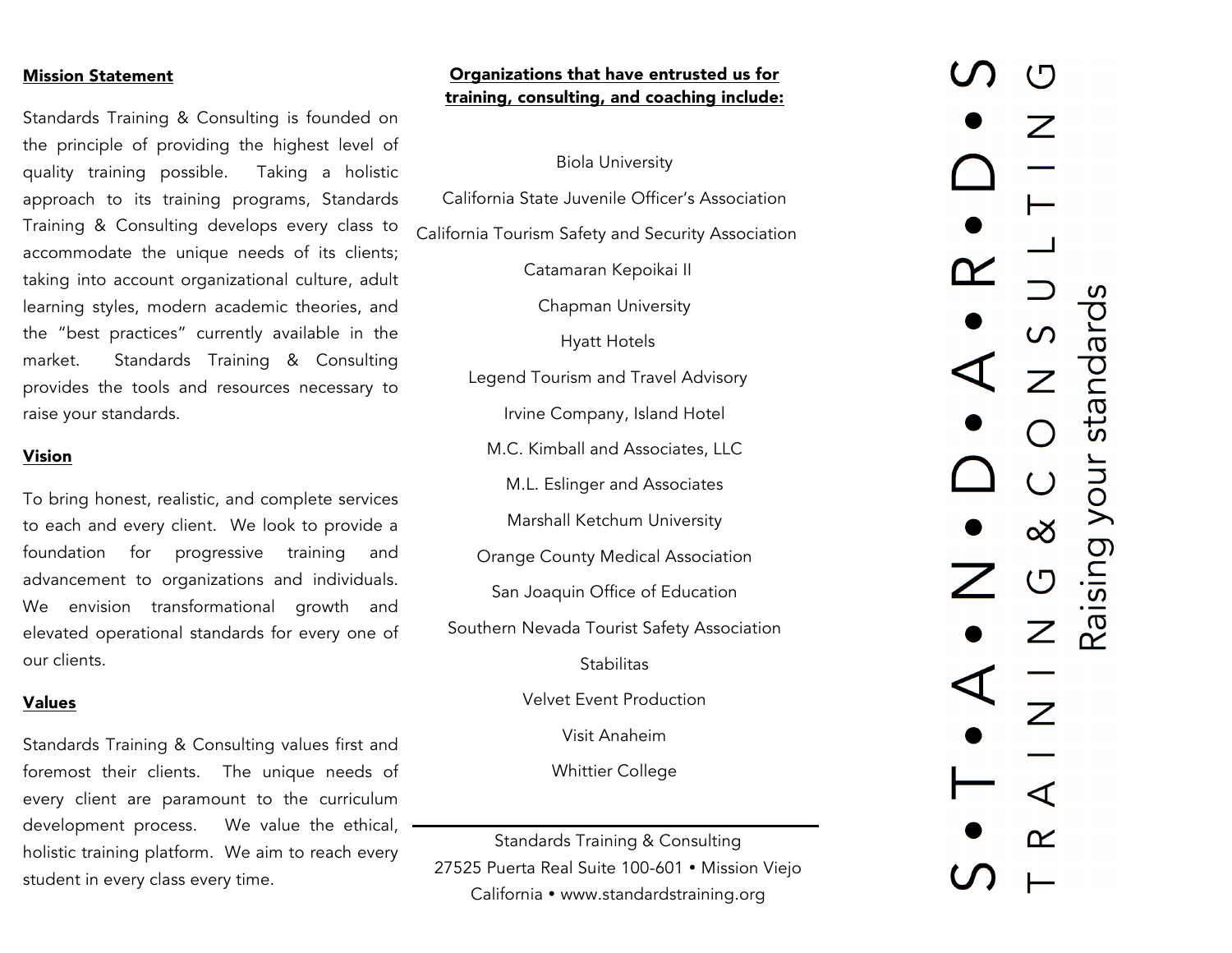#### Mission Statement

Standards Training & Consulting is founded on the principle of providing the highest level of quality training possible. Taking a holistic approach to its training programs, Standards Training & Consulting develops every class to accommodate the unique needs of its clients; taking into account organizational culture, adult learning styles, modern academic theories, and the "best practices" currently available in the market. Standards Training & Consulting provides the tools and resources necessary to raise your standards.

#### Vision

To bring honest, realistic, and complete services to each and every client. We look to provide a foundation for progressive training and advancement to organizations and individuals. We envision transformational growth and elevated operational standards for every one of our clients.

#### Values

Standards Training & Consulting values first and foremost their clients. The unique needs of every client are paramount to the curriculum development process. We value the ethical, holistic training platform. We aim to reach every student in every class every time.

# Organizations that have entrusted us for training, consulting, and coaching include:

#### Biola University

California State Juvenile Officer's Association California Tourism Safety and Security Association

Catamaran Kepoikai II

Chapman University

Hyatt Hotels

Legend Tourism and Travel Advisory

Irvine Company, Island Hotel

M.C. Kimball and Associates, LLC

M.L. Eslinger and Associates

Marshall Ketchum University

Orange County Medical Association

San Joaquin Office of Education

Southern Nevada Tourist Safety Association

**Stabilitas** 

Velvet Event Production

Visit Anaheim

Whittier College

Standards Training & Consulting 27525 Puerta Real Suite 100-601 · Mission Viejo California • www.standardstraining.org

Raising your standards  $\infty$  $\bigcup$  $\mathsf{Z}$  $\boldsymbol{Z}$